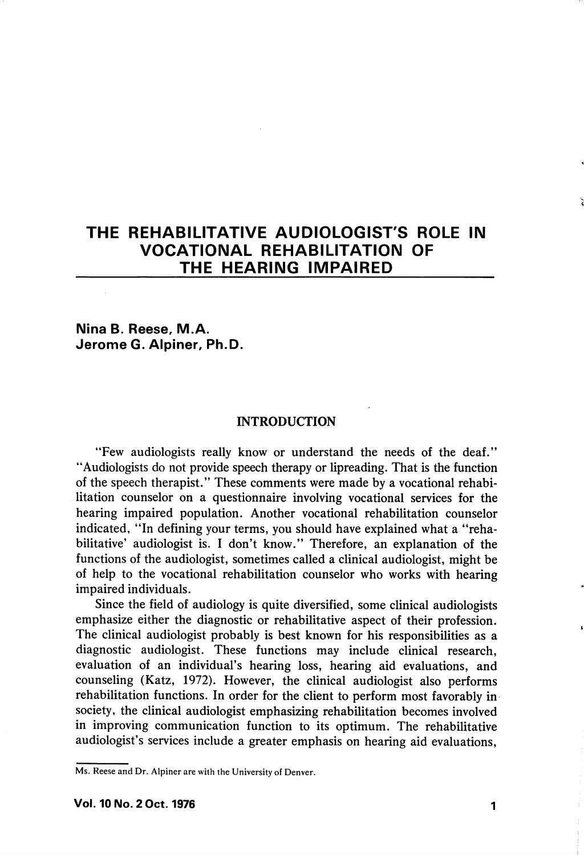# THE REHABILITATIVE AUDIOLOGIST'S ROLE IN VOCATIONAL REHABILITATION OF THE HEARING IMPAIRED

Nina B. Reese, M.A. Jerome G. Alpiner, Ph.D.

#### INTRODUCTION

"Few audiologists really know or understand the needs of the deaf." "Audiologists do not provide speech therapy or lipreading. That is the function of the speech therapist." These comments were made by a vocational rehabi litation counselor on a questionnaire involving vocational services for the hearing impaired population. Another vocational rehabilitation counselor indicated, "In defining your terms, you should have explained what a "reha bilitative' audiologist is. I don't know." Therefore, an explanation of the functions of the audiologist, sometimes called a clinical audiologist, might be of help to the vocational rehabilitation counselor who works with hearing impaired individuals.

Since the field of audiology is quite diversified, some clinical audiologists emphasize either the diagnostic or rehabilitative aspect of their profession. The clinical audiologist probably is best known for his responsibilities as a diagnostic audiologist. These functions may include clinical research, evaluation of an individual's hearing loss, hearing aid evaluations, and counseling (Katz, 1972). However, the clinical audiologist also performs rehabilitation functions. In order for the client to perform most favorably in society, the clinical audiologist emphasizing rehabilitation becomes involved in improving communication function to its optimum. The rehabilitative audiologist's services include a greater emphasis on hearing aid evaluations.

Ms. Reese and Dr. Alpiner are with the University of Denver.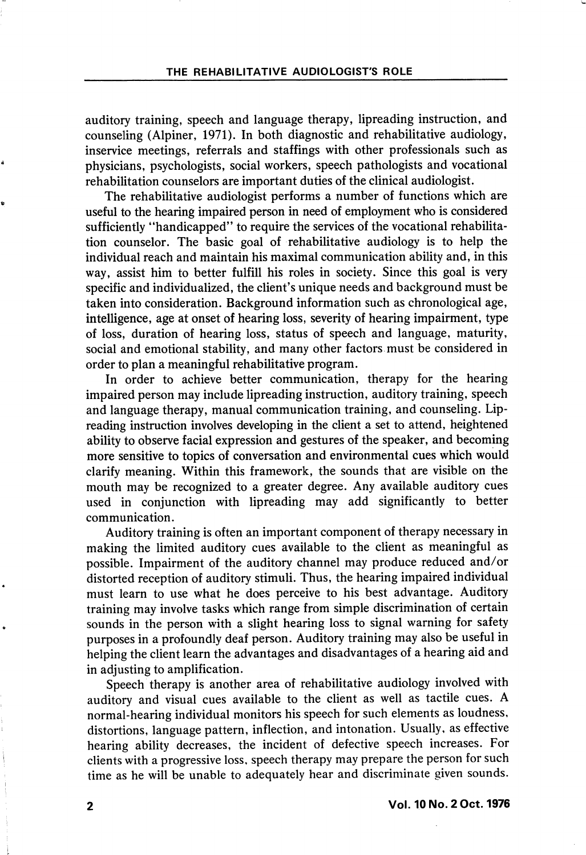auditory training, speech and language therapy, lipreading instruction, and counseling (Alpiner, 1971). In both diagnostic and rehabilitative audiology, inservice meetings, referrals and staffings with other professionals such as physicians, psychologists, social workers, speech pathologists and vocational rehabilitation counselors are important duties of the clinical audiologist.

The rehabilitative audiologist performs a number of functions which are useful to the hearing impaired person in need of employment who is considered sufficiently "handicapped" to require the services of the vocational rehabilita tion counselor. The basic goal of rehabilitative audiology is to help the individual reach and maintain his maximal communication ability and, in this way, assist him to better fulfill his roles in society. Since this goal is very specific and individualized, the client's unique needs and background must be taken into consideration. Background information such as chronological age, intelligence, age at onset of hearing loss, severity of hearing impairment, type of loss, duration of hearing loss, status of speech and language, maturity, social and emotional stability, and many other factors must be considered in order to plan a meaningful rehabilitative program.

In order to achieve better communication, therapy for the hearing impaired person may include lipreading instruction, auditory training, speech and language therapy, manual communication training, and counseling. Lipreading instruction involves developing in the client a set to attend, heightened ability to observe facial expression and gestures of the speaker, and becoming more sensitive to topics of conversation and environmental cues which would clarify meaning. Within this framework, the sounds that are visible on the mouth may be recognized to a greater degree. Any available auditory cues used in conjunction with lipreading may add significantly to better communication.

Auditory training is often an important component of therapy necessary in making the limited auditory cues available to the client as meaningful as possible. Impairment of the auditory channel may produce reduced and/or distorted reception of auditory stimuli. Thus, the hearing impaired individual must learn to use what he does perceive to his best advantage. Auditory training may involve tasks which range from simple discrimination of certain sounds in the person with a slight hearing loss to signal warning for safety purposes in a profoundly deaf person. Auditory training may also be useful in helping the client learn the advantages and disadvantages of a hearing aid and in adjusting to amplification.

Speech therapy is another area of rehabilitative audiology involved with auditory and visual cues available to the client as well as tactile cues. A normal-hearing individual monitors his speech for such elements as loudness, distortions, language pattern, inflection, and intonation. Usually, as effective hearing ability decreases, the incident of defective speech increases. For clients with a progressive loss, speech therapy may prepare the person for such time as he will be unable to adequately hear and discriminate given sounds.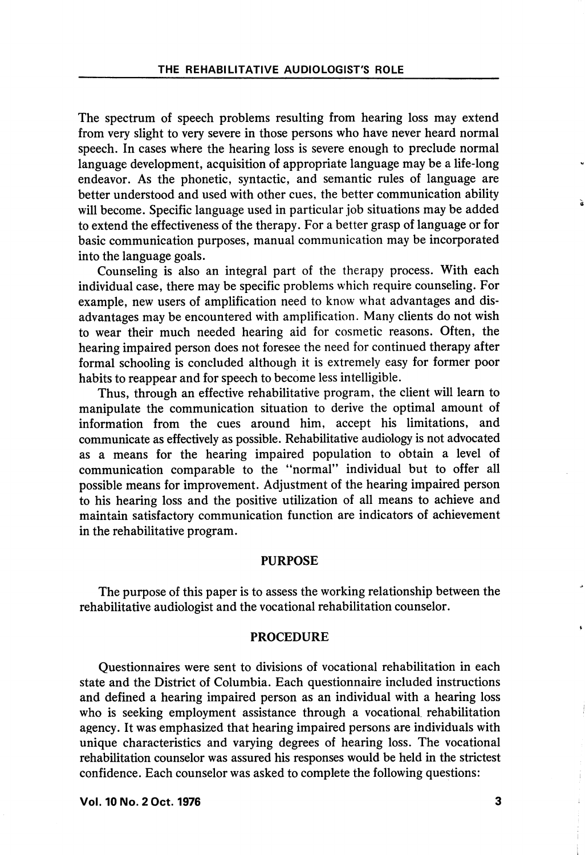The spectrum of speech problems resulting from hearing loss may extend from very slight to very severe in those persons who have never heard normal speech. In cases where the hearing loss is severe enough to preclude normal language development, acquisition of appropriate language may be a life-long endeavor. As the phonetic, syntactic, and semantic rules of language are better understood and used with other cues, the better communication ability will become. Specific language used in particular job situations may be added to extend the effectiveness of the therapy. For a better grasp of language or for basic communication purposes, manual communication may be incorporated into the language goals.

Counseling is also an integral part of the therapy process. With each individual case, there may be specific problems which require counseling. For example, new users of amplification need to know what advantages and dis advantages may be encountered with amplification. Many clients do not wish to wear their much needed hearing aid for cosmetic reasons. Often, the hearing impaired person does not foresee the need for continued therapy after formal schooling is concluded although it is extremely easy for former poor habits to reappear and for speech to become less intelligible.

Thus, through an effective rehabilitative program, the client will learn to manipulate the communication situation to derive the optimal amount of information from the cues around him, accept his limitations, and communicate as effectively as possible. Rehabilitative audiology is not advocated as a means for the hearing impaired population to obtain a level of communication comparable to the "normal" individual but to offer all possible means for improvement. Adjustment of the hearing impaired person to his hearing loss and the positive utilization of all means to achieve and maintain satisfactory communication function are indicators of achievement in the rehabilitative program.

### PURPOSE

The purpose of this paper is to assess the working relationship between the rehabilitative audiologist and the vocational rehabilitation counselor.

#### PROCEDURE

Questionnaires were sent to divisions of vocational rehabilitation in each state and the District of Columbia. Each questionnaire included instructions and defined a hearing impaired person as an individual with a hearing loss who is seeking employment assistance through a vocational rehabilitation agency. It was emphasized that hearing impaired persons are individuals with unique characteristics and varying degrees of hearing loss. The vocational rehabilitation counselor was assured his responses would be held in the strictest confidence. Each counselor was asked to complete the following questions:

Vol. 10 No. 2 Oct. 1976 3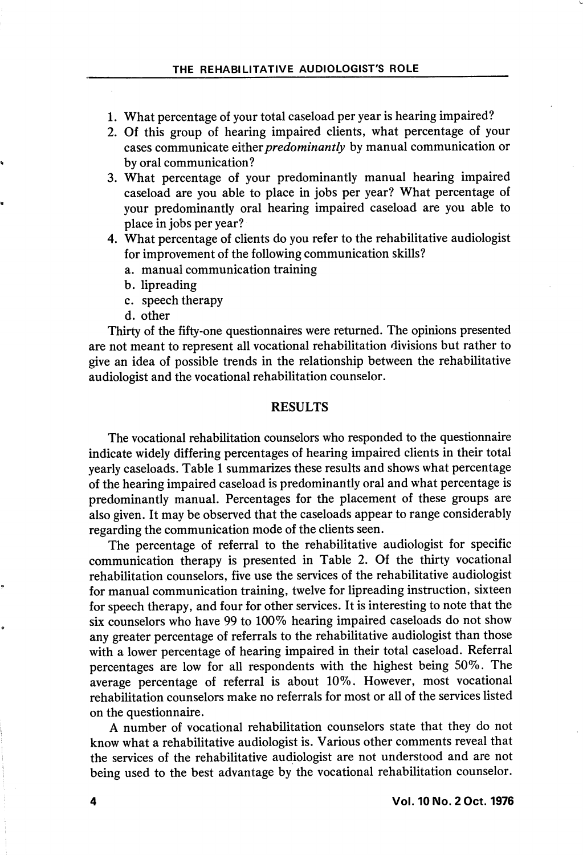- 1. What percentage of your total caseload per year is hearing impaired?
- 2. Of this group of hearing impaired clients, what percentage of your cases communicate either predominantly by manual communication or by oral communication?
- 3. What percentage of your predominantly manual hearing impaired caseload are you able to place in jobs per year? What percentage of your predominantly oral hearing impaired caseload are you able to place in jobs per year?
- 4. What percentage of clients do you refer to the rehabilitative audiologist for improvement of the following communication skills?
	- a. manual communication training
	- b. lipreading
	- c. speech therapy
	- d. other

Thirty of the fifty-one questionnaires were returned. The opinions presented are not meant to represent all vocational rehabilitation divisions but rather to give an idea of possible trends in the relationship between the rehabilitative audiologist and the vocational rehabilitation counselor.

## RESULTS

The vocational rehabilitation counselors who responded to the questionnaire indicate widely differing percentages of hearing impaired clients in their total yearly caseloads. Table 1 summarizes these results and shows what percentage of the hearing impaired caseload is predominantly oral and what percentage is predominantly manual. Percentages for the placement of these groups are also given. It may be observed that the caseloads appear to range considerably regarding the communication mode of the clients seen.

The percentage of referral to the rehabilitative audiologist for specific communication therapy is presented in Table 2. Of the thirty vocational rehabilitation counselors, five use the services of the rehabilitative audiologist for manual communication training, twelve for lipreading instruction, sixteen for speech therapy, and four for other services. It is interesting to note that the six counselors who have 99 to 100% hearing impaired caseloads do not show any greater percentage of referrals to the rehabilitative audiologist than those with a lower percentage of hearing impaired in their total caseload. Referral percentages are low for all respondents with the highest being 50%. The average percentage of referral is about 10%. However, most vocational rehabilitation counselors make no referrals for most or all of the services listed on the questionnaire.

A number of vocational rehabilitation counselors state that they do not know what a rehabilitative audiologist is. Various other comments reveal that the services of the rehabilitative audiologist are not understood and are not being used to the best advantage by the vocational rehabilitation counselor.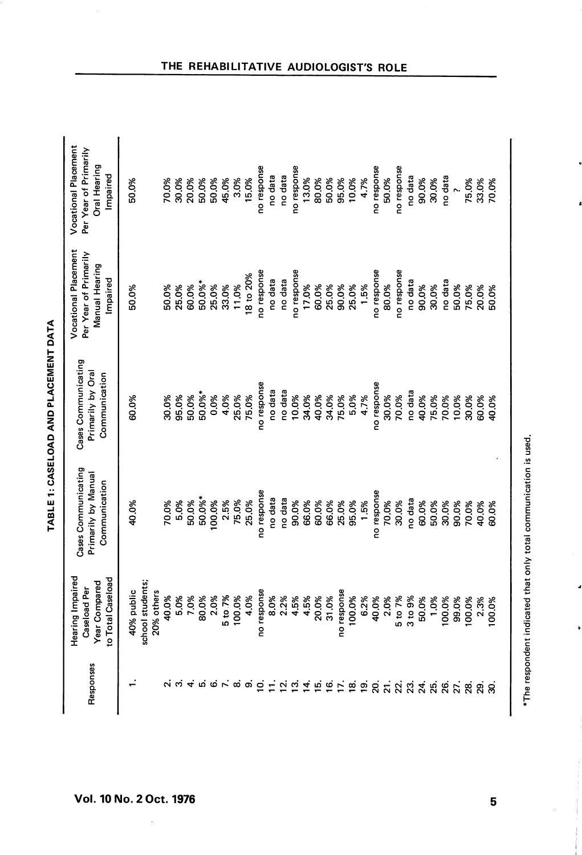| Responses        | Hearing Impaired<br>to Total Caseload<br>Year Compared<br>Caseload Per | Cases Communicating<br>Primarily by Manual<br>Communication | Cases Communicating<br>Primarily by Oral<br>Communication | <b>Vocational Placement</b><br>Per Year of Primarily<br>Manual Hearing<br>Impaired | <b>Vocational Placement</b><br>Per Year of Primarily<br>Oral Hearing<br>Impaired |
|------------------|------------------------------------------------------------------------|-------------------------------------------------------------|-----------------------------------------------------------|------------------------------------------------------------------------------------|----------------------------------------------------------------------------------|
|                  | school students;<br>40% public<br>20% others                           | 40.0%                                                       | 60.0%                                                     | 50.0%                                                                              | 50.0%                                                                            |
|                  | 40.0%                                                                  | 70.0%                                                       | 30.0%                                                     | 50.0%                                                                              | 70.0%                                                                            |
| က                | 5.0%                                                                   | 5.0%                                                        | 95.0%                                                     | 25.0%                                                                              | 30.0%                                                                            |
| $\dot{p}$        | 7.0%                                                                   | 50.0%                                                       | 50.0%                                                     | 60.0%                                                                              | 20.0%                                                                            |
|                  | 80.0%                                                                  | 50.0%*                                                      | 50.0%*                                                    | 50.0%*                                                                             | 50.0%                                                                            |
| ۱۰ ه ن           | 2.0%                                                                   | 100.0%                                                      | 0.0%                                                      | 25.0%                                                                              | 50.0%                                                                            |
|                  | 5 to 7%                                                                | 2.5%                                                        | 4.0%                                                      | 33.0%                                                                              | 45.0%                                                                            |
| $\infty$         | 100.0%                                                                 | 75.0%                                                       | 25.0%                                                     | 11.0%                                                                              | 3.0%                                                                             |
| တ                | 4.0%                                                                   | 25.0%                                                       | 75.0%                                                     | 18 to 20%                                                                          | 15.0%                                                                            |
| ġ                | no response                                                            | no response                                                 | no response                                               | no response                                                                        | no response                                                                      |
| É                | 8.0%                                                                   | no data                                                     | no data                                                   | no data                                                                            | no data                                                                          |
| $\overline{q}$   | 2.2%                                                                   | no data                                                     | no data                                                   | no data                                                                            | no data                                                                          |
| $\vec{a}$        | 4.5%                                                                   | 90.0%                                                       | 10.0%                                                     | no response                                                                        | no response                                                                      |
| $\overline{4}$   | 4.5%                                                                   | 66.0%                                                       | 34.0%                                                     | 17.0%                                                                              | 13.0%                                                                            |
| ē                | 20.0%                                                                  | 60.0%                                                       | 40.0%                                                     | 60.0%                                                                              | 80.0%                                                                            |
| $\overline{6}$   | 31.0%                                                                  | 66.0%                                                       | 34.0%                                                     | 25.0%                                                                              | 50.0%<br>95.0%                                                                   |
| E.               | no response                                                            | 25.0%                                                       | 75.0%                                                     | 90.0%                                                                              |                                                                                  |
| ഇ്               | 100.0%                                                                 | 95.0%                                                       | 5.0%                                                      | 25.0%                                                                              | 10.0%                                                                            |
| ഉ                | 6.2%                                                                   | 1.5%                                                        | 4.7%                                                      | 1.5%                                                                               | 4.7%                                                                             |
| ຊ.               | 40.0%                                                                  | no response                                                 | no response                                               | no response                                                                        | no response                                                                      |
| $\overline{z}$ . | 2.0%                                                                   | 70.0%                                                       | 30.0%                                                     | 80.0%                                                                              | 50.0%                                                                            |
| 22.              | 5 to 7%                                                                | 30.0%                                                       | 70.0%                                                     | no response                                                                        | no response                                                                      |
| $\tilde{c}$      | 3 to 9%                                                                | no data                                                     | no data                                                   | no data                                                                            | no data                                                                          |
| 24               | 50.0%                                                                  | 60.0%                                                       | 40.0%                                                     | 90.0%                                                                              | 90.0%                                                                            |
| ξ.               | 1.0%                                                                   | 50.0%                                                       | 75.0%                                                     | 30.0%                                                                              | 30.0%                                                                            |
| 26.              | 100.0%                                                                 | 30.0%                                                       | 70.0%                                                     | no data                                                                            | no data                                                                          |
| 27.              | 99.0%                                                                  | 90.0%                                                       | 10.0%                                                     | 50.0%                                                                              |                                                                                  |
| 28.              | 100.0%                                                                 | 70.0%                                                       | 30.0%                                                     | 75.0%                                                                              | 75.0%                                                                            |
| 29.              | 2.3%                                                                   | 40.0%                                                       | 60.0%                                                     | 20.0%                                                                              | 33.0%                                                                            |
| ജ്               | $00.0\%$                                                               | 60.0%                                                       | 40.0%                                                     | 50.0%                                                                              | 70.0%                                                                            |

TABLE 1: CASELOAD AND PLACEMENT DATA TABLE 1: CASELOAD AND PLACEMENT DATA

#### /ol. 10 No. 2 Oct. 1976

THE REHABILITATIVE AUDIOLOGIST'S RO

\*The respondent indicated that only total communication is used.

٠

 $\ddot{\bullet}$ 

\*The respondent indicated that only total communication is used.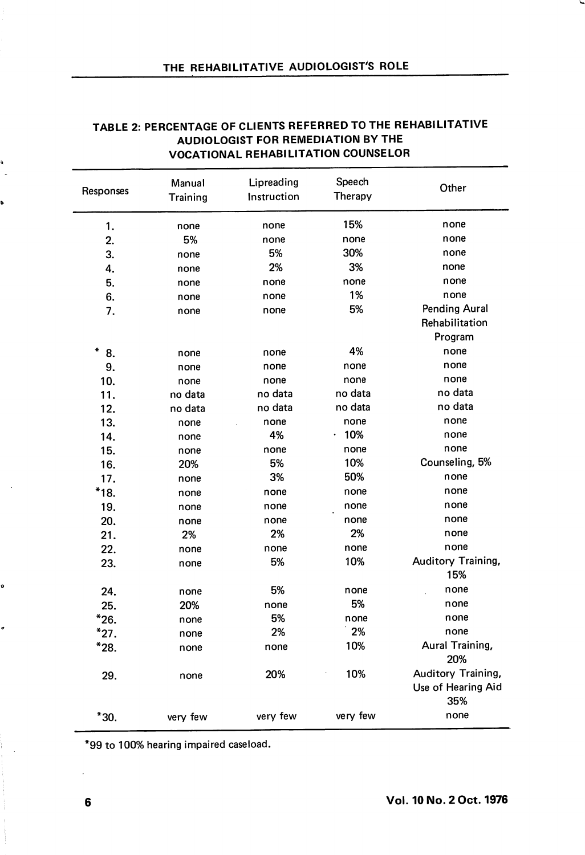| Responses | Manual<br>Training | Lipreading<br>Instruction | Speech<br>Therapy | Other                                           |
|-----------|--------------------|---------------------------|-------------------|-------------------------------------------------|
| 1.        | none               | none                      | 15%               | none                                            |
| 2.        | 5%                 | none                      | none              | none                                            |
| 3.        | none               | 5%                        | 30%               | none                                            |
| 4.        | none               | 2%                        | 3%                | none                                            |
| 5.        | none               | none                      | none              | none                                            |
| 6.        | none               | none                      | 1%                | none                                            |
| 7.        | none               | none                      | 5%                | Pending Aural                                   |
|           |                    |                           |                   | Rehabilitation                                  |
|           |                    |                           |                   | Program                                         |
| ₩<br>8.   | none               | none                      | 4%                | none                                            |
| 9.        | none               | none                      | none              | none                                            |
| 10.       | none               | none                      | none              | none                                            |
| 11.       | no data            | no data                   | no data           | no data                                         |
| 12.       | no data            | no data                   | no data           | no data                                         |
| 13.       | none               | none                      | none              | none                                            |
| 14.       | none               | 4%                        | .10%              | none                                            |
| 15.       | none               | none                      | none              | none                                            |
| 16.       | 20%                | 5%                        | 10%               | Counseling, 5%                                  |
| 17.       | none               | 3%                        | 50%               | none                                            |
| *18.      | none               | none                      | none              | none                                            |
| 19.       | none               | none                      | none              | none                                            |
| 20.       | none               | none                      | none              | none                                            |
| 21.       | 2%                 | 2%                        | 2%                | none                                            |
| 22.       | none               | none                      | none              | none                                            |
| 23.       | none               | 5%                        | 10%               | Auditory Training,<br>15%                       |
| 24.       | none               | 5%                        | none              | none                                            |
| 25.       | 20%                | none                      | 5%                | none                                            |
| $*26.$    | none               | 5%                        | none              | none                                            |
| $*_{27.}$ | none               | 2%                        | 2%                | none                                            |
| *28.      | none               | none                      | 10%               | Aural Training,<br>20%                          |
| 29.       | none               | 20%                       | 10%               | Auditory Training,<br>Use of Hearing Aid<br>35% |
| *30.      | very few           | very few                  | very few          | none                                            |

## TABLE 2: PERCENTAGE OF CLIENTS REFERRED TO THE REHABILITATIVE AUDIOLOGIST FOR REMEDIATION BY THE VOCATIONAL REHABILITATION COUNSELOR

\*99 to 100% hearing impaired caseload.

ċ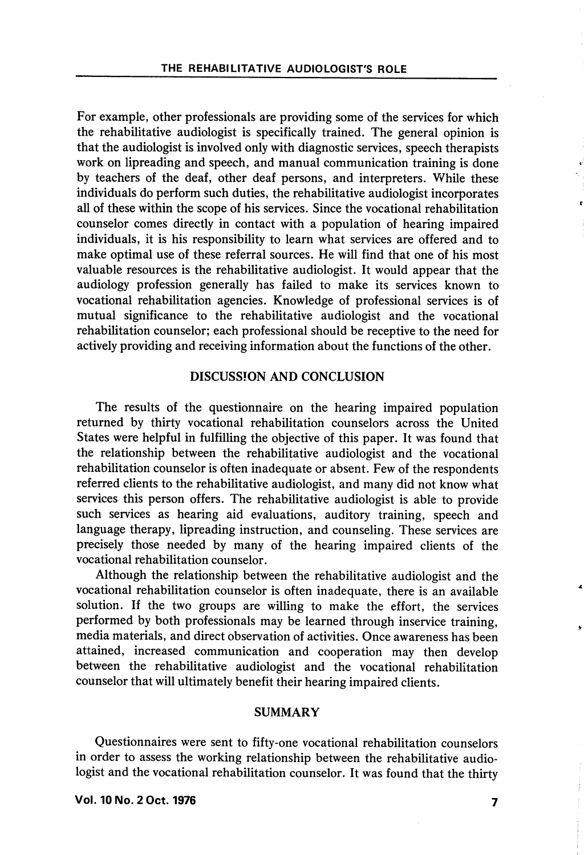For example, other professionals are providing some of the services for which the rehabilitative audiologist is specifically trained. The general opinion is that the audiologist is involved only with diagnostic services, speech therapists work on lipreading and speech, and manual communication training is done by teachers of the deaf, other deaf persons, and interpreters. While these individuals do perform such duties, the rehabilitative audiologist incorporates all of these within the scope of his services. Since the vocational rehabilitation counselor comes directly in contact with a population of hearing impaired individuals, it is his responsibility to learn what services are offered and to make optimal use of these referral sources. He will find that one of his most valuable resources is the rehabilitative audiologist. It would appear that the audiology profession generally has failed to make its services known to vocational rehabilitation agencies. Knowledge of professional services is of mutual significance to the rehabilitative audiologist and the vocational rehabilitation counselor; each professional should be receptive to the need for actively providing and receiving information about the functions of the other.

# DISCUSSION AND CONCLUSION

The results of the questionnaire on the hearing impaired population returned by thirty vocational rehabilitation counselors across the United States were helpful in fulfilling the objective of this paper. It was found that the relationship between the rehabilitative audiologist and the vocational rehabilitation counselor is often inadequate or absent. Few of the respondents referred clients to the rehabilitative audiologist, and many did not know what services this person offers. The rehabilitative audiologist is able to provide such services as hearing aid evaluations, auditory training, speech and language therapy, lipreading instruction, and counseling. These services are precisely those needed by many of the hearing impaired clients of the vocational rehabilitation counselor.

Although the relationship between the rehabilitative audiologist and the vocational rehabilitation counselor is often inadequate, there is an available solution. If the two groups are willing to make the effort, the services performed by both professionals may be learned through inservice training, media materials, and direct observation of activities. Once awareness has been attained, increased communication and cooperation may then develop between the rehabilitative audiologist and the vocational rehabilitation counselor that will ultimately benefit their hearing impaired clients.

#### SUMMARY

Questionnaires were sent to fifty-one vocational rehabilitation counselors in order to assess the working relationship between the rehabilitative audio logist and the vocational rehabilitation counselor. It was found that the thirty